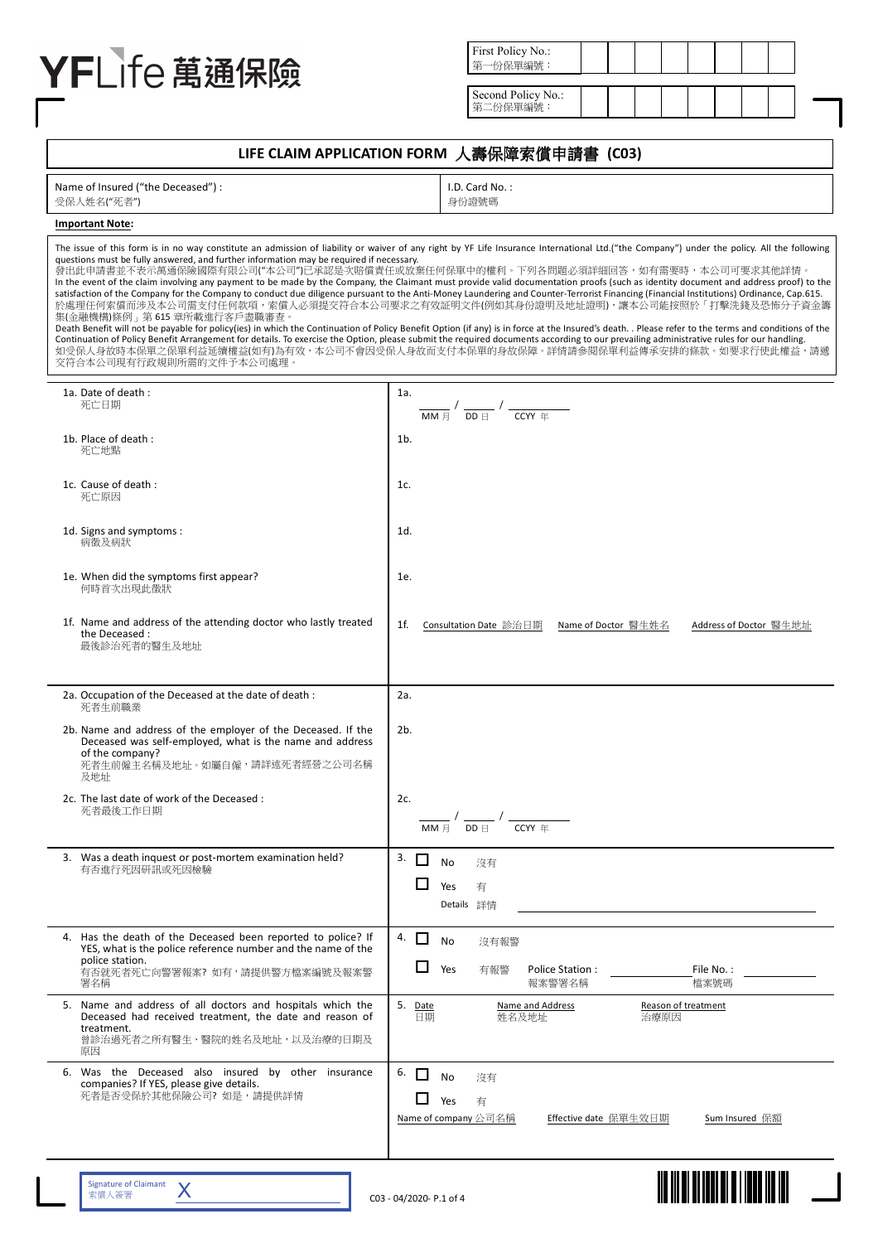# YFLife 萬通保險

| First Policy No.:<br>筆<br>三公母單矩點 |  |  |  |
|----------------------------------|--|--|--|
|                                  |  |  |  |
|                                  |  |  |  |

Second Policy No.: 第二份保單編號:

# LIFE CLAIM APPLICATION FORM 人壽保障索償申請書 (C03)

| Name of Insured ("the Deceased") : |
|------------------------------------|
| 受保人姓名("死者")                        |

I.D. Card No. : 身份證號碼

# **Important Note:**

| questions must be fully answered, and further information may be required if necessary.<br>集(金融機構)條例﹔第 615 章所載進行客戶盡職審查。<br>交符合本公司現有行政規則所需的文件予本公司處理。                                      | The issue of this form is in no way constitute an admission of liability or waiver of any right by YF Life Insurance International Ltd.("the Company") under the policy. All the following<br>發出此申請書並不表示萬通保險國際有限公司("本公司")已承認是次賠償責任或放棄任何保單中的權利。下列各問題必須詳細回答,如有需要時,本公司可要求其他詳情。<br>In the event of the claim involving any payment to be made by the Company, the Claimant must provide valid documentation proofs (such as identity document and address proof) to the<br>satisfaction of the Company for the Company to conduct due diligence pursuant to the Anti-Money Laundering and Counter-Terrorist Financing (Financial Institutions) Ordinance, Cap.615.<br>於處理任何索償而涉及本公司需支付任何款項,索償人必須提交符合本公司要求之有效証明文件(例如其身份證明及地址證明),讓本公司能按照於「打擊洗錢及恐怖分子資金籌<br>Death Benefit will not be payable for policy(ies) in which the Continuation of Policy Benefit Option (if any) is in force at the Insured's death. . Please refer to the terms and conditions of the<br>Continuation of Policy Benefit Arrangement for details. To exercise the Option, please submit the required documents according to our prevailing administrative rules for our handling.<br>如受保人身故時本保單之保單利益延續權益(如有)為有效,本公司不會因受保人身故而支付本保單的身故保障。詳情請参閱保單利益傳承安排的條款。如要求行使此權益,請遞 |
|------------------------------------------------------------------------------------------------------------------------------------------------------------------------------------------|--------------------------------------------------------------------------------------------------------------------------------------------------------------------------------------------------------------------------------------------------------------------------------------------------------------------------------------------------------------------------------------------------------------------------------------------------------------------------------------------------------------------------------------------------------------------------------------------------------------------------------------------------------------------------------------------------------------------------------------------------------------------------------------------------------------------------------------------------------------------------------------------------------------------------------------------------------------------------------------------------------------------------------------------------------------------------------------------------------------------------------------------------------------------------------------------------------------------------------------|
| 1a. Date of death:                                                                                                                                                                       | 1a.                                                                                                                                                                                                                                                                                                                                                                                                                                                                                                                                                                                                                                                                                                                                                                                                                                                                                                                                                                                                                                                                                                                                                                                                                                  |
| 死亡日期                                                                                                                                                                                     | MM 日<br>$DD \nbox{ } \square$<br>CCYY 年                                                                                                                                                                                                                                                                                                                                                                                                                                                                                                                                                                                                                                                                                                                                                                                                                                                                                                                                                                                                                                                                                                                                                                                              |
| 1b. Place of death:<br>死亡地點                                                                                                                                                              | 1 <sub>b</sub>                                                                                                                                                                                                                                                                                                                                                                                                                                                                                                                                                                                                                                                                                                                                                                                                                                                                                                                                                                                                                                                                                                                                                                                                                       |
| 1c. Cause of death :<br>死亡原因                                                                                                                                                             | 1c.                                                                                                                                                                                                                                                                                                                                                                                                                                                                                                                                                                                                                                                                                                                                                                                                                                                                                                                                                                                                                                                                                                                                                                                                                                  |
| 1d. Signs and symptoms:<br>病徵及病狀                                                                                                                                                         | 1d.                                                                                                                                                                                                                                                                                                                                                                                                                                                                                                                                                                                                                                                                                                                                                                                                                                                                                                                                                                                                                                                                                                                                                                                                                                  |
| 1e. When did the symptoms first appear?<br>何時首次出現此徵狀                                                                                                                                     | 1e.                                                                                                                                                                                                                                                                                                                                                                                                                                                                                                                                                                                                                                                                                                                                                                                                                                                                                                                                                                                                                                                                                                                                                                                                                                  |
| 1f. Name and address of the attending doctor who lastly treated<br>the Deceased:<br>最後診治死者的醫生及地址                                                                                         | 1f.<br>Consultation Date 診治日期<br>Name of Doctor 醫生姓名<br>Address of Doctor 醫生地址                                                                                                                                                                                                                                                                                                                                                                                                                                                                                                                                                                                                                                                                                                                                                                                                                                                                                                                                                                                                                                                                                                                                                       |
| 2a. Occupation of the Deceased at the date of death :<br>死者生前職業                                                                                                                          | 2a.                                                                                                                                                                                                                                                                                                                                                                                                                                                                                                                                                                                                                                                                                                                                                                                                                                                                                                                                                                                                                                                                                                                                                                                                                                  |
| 2b. Name and address of the employer of the Deceased. If the<br>Deceased was self-employed, what is the name and address<br>of the company?<br>死者生前僱主名稱及地址。如屬自僱,請詳述死者經營之公司名稱<br>及地址      | 2b.                                                                                                                                                                                                                                                                                                                                                                                                                                                                                                                                                                                                                                                                                                                                                                                                                                                                                                                                                                                                                                                                                                                                                                                                                                  |
| 2c. The last date of work of the Deceased :<br>死者最後工作日期                                                                                                                                  | 2c.<br>CCYY 年<br>MM 月<br>$DD \nexists$                                                                                                                                                                                                                                                                                                                                                                                                                                                                                                                                                                                                                                                                                                                                                                                                                                                                                                                                                                                                                                                                                                                                                                                               |
| 3. Was a death inquest or post-mortem examination held?<br>有否進行死因研訊或死因檢驗                                                                                                                 | $3. \Box$<br><b>No</b><br>沒有<br>Yes<br>有<br>Details 詳情                                                                                                                                                                                                                                                                                                                                                                                                                                                                                                                                                                                                                                                                                                                                                                                                                                                                                                                                                                                                                                                                                                                                                                               |
| 4. Has the death of the Deceased been reported to police? If<br>YES, what is the police reference number and the name of the<br>police station.<br>有否就死者死亡向警署報案? 如有,請提供警方檔案編號及報案警<br>署名稱 | 4. $\Box$<br><b>No</b><br>沒有報警<br>ப<br>Yes<br>有報警<br>Police Station:<br>File No. :<br>報案警署名稱<br>檔案號碼                                                                                                                                                                                                                                                                                                                                                                                                                                                                                                                                                                                                                                                                                                                                                                                                                                                                                                                                                                                                                                                                                                                                 |
| 5. Name and address of all doctors and hospitals which the<br>Deceased had received treatment, the date and reason of<br>treatment.<br>曾診治過死者之所有醫生、醫院的姓名及地址,以及治療的日期及<br>原因               | 5. Date<br>Name and Address<br>Reason of treatment<br>日期<br>姓名及地址<br>治療原因                                                                                                                                                                                                                                                                                                                                                                                                                                                                                                                                                                                                                                                                                                                                                                                                                                                                                                                                                                                                                                                                                                                                                            |
| 6. Was the Deceased also insured by other insurance<br>companies? If YES, please give details.<br>死者是否受保於其他保險公司? 如是,請提供詳情                                                                | 6.<br>П<br><b>No</b><br>沒有<br>Yes<br>有<br>Name of company 公司名稱<br>Effective date 保單生效日期<br>Sum Insured 保額                                                                                                                                                                                                                                                                                                                                                                                                                                                                                                                                                                                                                                                                                                                                                                                                                                                                                                                                                                                                                                                                                                                            |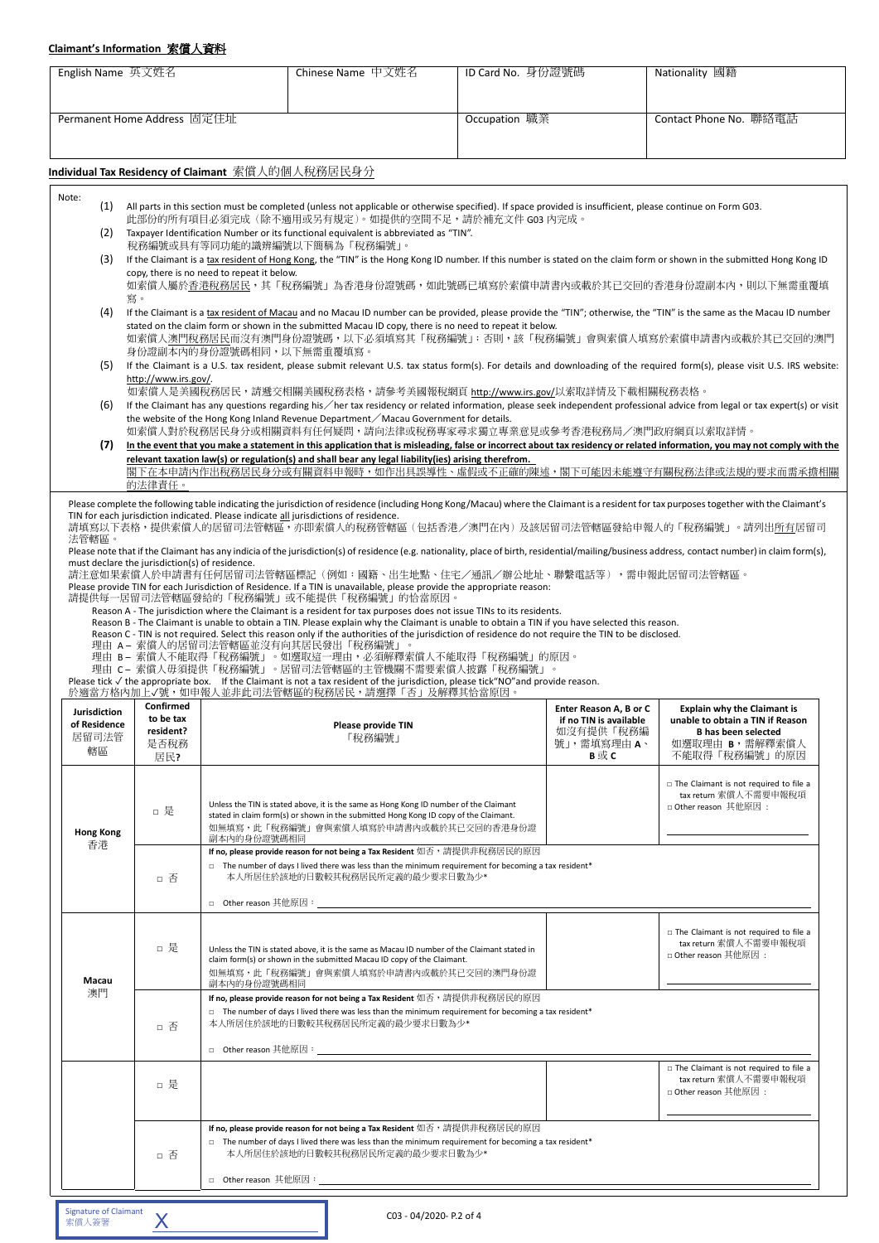## **Claimant's Information** 索償人資料

| Permanent Home Address 固定住址<br>Occupation 職業<br>Contact Phone No. 聯絡電話<br>Individual Tax Residency of Claimant 索償人的個人稅務居民身分<br>(1) All parts in this section must be completed (unless not applicable or otherwise specified). If space provided is insufficient, please continue on Form G03.<br>此部份的所有項目必須完成(除不適用或另有規定)。如提供的空間不足,請於補充文件 G03 内完成。<br>Taxpayer Identification Number or its functional equivalent is abbreviated as "TIN".<br>(2)<br>稅務編號或具有等同功能的識辨編號以下簡稱為「稅務編號」。<br>If the Claimant is a tax resident of Hong Kong, the "TIN" is the Hong Kong ID number. If this number is stated on the claim form or shown in the submitted Hong Kong ID<br>(3)<br>copy, there is no need to repeat it below.<br>如索償人屬於香港稅務居民,其「稅務編號」為香港身份證號碼,如此號碼已填寫於索償申請書內或載於其已交回的香港身份證副本內,則以下無需重覆填<br>寫。<br>If the Claimant is a tax resident of Macau and no Macau ID number can be provided, please provide the "TIN"; otherwise, the "TIN" is the same as the Macau ID number<br>(4)<br>stated on the claim form or shown in the submitted Macau ID copy, there is no need to repeat it below.<br>如索償人澳門稅務居民而沒有澳門身份證號碼,以下必須填寫其「稅務編號」;否則,該「稅務編號」會與索償人填寫於索償申請書內或載於其已交回的澳門<br>身份證副本內的身份證號碼相同,以下無需重覆填寫。<br>(5) If the Claimant is a U.S. tax resident, please submit relevant U.S. tax status form(s). For details and downloading of the required form(s), please visit U.S. IRS website:<br>http://www.irs.gov/.<br>如索償人是美國稅務居民,請遞交相關美國稅務表格,請參考美國報稅網頁 http://www.irs.gov/以索取詳情及下載相關稅務表格。<br>(6) If the Claimant has any questions regarding his / her tax residency or related information, please seek independent professional advice from legal or tax expert(s) or visit<br>the website of the Hong Kong Inland Revenue Department / Macau Government for details.<br>如索償人對於稅務居民身分或相關資料有任何疑問,請向法律或稅務專家尋求獨立專業意見或參考香港稅務局/澳門政府網頁以索取詳情。<br>(7)<br>In the event that you make a statement in this application that is misleading, false or incorrect about tax residency or related information, you may not comply with the<br>relevant taxation law(s) or regulation(s) and shall bear any legal liability(ies) arising therefrom.<br>閣下在本申請內作出稅務居民身分或有關資料申報時,如作出具誤導性、虛假或不正確的陳述,閣下可能因未能遵守有關稅務法律或法規的要求而需承擔相關<br>的法律責任。<br>Please complete the following table indicating the jurisdiction of residence (including Hong Kong/Macau) where the Claimant is a resident for tax purposes together with the Claimant's<br>TIN for each jurisdiction indicated. Please indicate all jurisdictions of residence.<br>請填寫以下表格,提供索償人的居留司法管轄區,亦即索償人的稅務管轄區(包括香港/澳門在內)及該居留司法管轄區發給申報人的「稅務編號」。請列出所有居留司<br>法管轄區。<br>Please note that if the Claimant has any indicia of the jurisdiction(s) of residence (e.g. nationality, place of birth, residential/mailing/business address, contact number) in claim form(s),<br>must declare the jurisdiction(s) of residence.<br>請注意如果索償人於申請書有任何居留司法管轄區標記(例如:國籍、出生地點、住宅/通訊/辦公地址、聯繫電話等),需申報此居留司法管轄區。<br>Please provide TIN for each Jurisdiction of Residence. If a TIN is unavailable, please provide the appropriate reason:<br>請提供每一居留司法管轄區發給的「稅務編號」或不能提供「稅務編號」的恰當原因。<br>Reason A - The jurisdiction where the Claimant is a resident for tax purposes does not issue TINs to its residents.<br>Reason B - The Claimant is unable to obtain a TIN. Please explain why the Claimant is unable to obtain a TIN if you have selected this reason.<br>Reason C - TIN is not required. Select this reason only if the authorities of the jurisdiction of residence do not require the TIN to be disclosed.<br>理由 A- 索償人的居留司法管轄區並沒有向其居民發出「稅務編號」。<br>理由 B- 索償人不能取得「稅務編號」。如選取這一理由,必須解釋索償人不能取得「稅務編號」的原因。<br>理由 C- 索償人毋須提供「稅務編號」。居留司法管轄區的主管機關不需要索償人披露「稅務編號」。<br>Please tick $\sqrt{ }$ the appropriate box. If the Claimant is not a tax resident of the jurisdiction, please tick "NO" and provide reason.<br>於適當方格內加上✔號,如申報人並非此司法管轄區的稅務居民,請選擇「否」及解釋其恰當原因。<br>Confirmed<br>Enter Reason A, B or C<br><b>Explain why the Claimant is</b><br>to be tax<br>unable to obtain a TIN if Reason<br>if no TIN is available<br>Please provide TIN<br>resident?<br>如沒有提供「稅務編<br><b>B</b> has been selected<br>居留司法管<br>「稅務編號」<br>號」,需填寫理由 A、<br>如選取理由 B,需解釋索償人<br>是否稅務<br>轄區<br>B或C<br>不能取得「稅務編號」的原因<br>居民?<br>□ The Claimant is not required to file a<br>tax return 索償人不需要申報稅項<br>Unless the TIN is stated above, it is the same as Hong Kong ID number of the Claimant<br>□ Other reason 其他原因:<br>□ 是<br>stated in claim form(s) or shown in the submitted Hong Kong ID copy of the Claimant.<br>如無填寫,此「稅務編號」會與索償人填寫於申請書內或載於其已交回的香港身份證<br><b>Hong Kong</b><br>副本内的身份證號碼相同<br>香港<br>If no, please provide reason for not being a Tax Resident 如否,請提供非稅務居民的原因<br>$\Box$ The number of days I lived there was less than the minimum requirement for becoming a tax resident*<br>本人所居住於該地的日數較其稅務居民所定義的最少要求日數為少*<br>□ 否<br>□ The Claimant is not required to file a<br>tax return 索償人不需要申報稅項<br>□ 是<br>Unless the TIN is stated above, it is the same as Macau ID number of the Claimant stated in<br>□ Other reason 其他原因:<br>claim form(s) or shown in the submitted Macau ID copy of the Claimant.<br>如無填寫,此「稅務編號」會與索償人填寫於申請書內或載於其已交回的澳門身份證<br>Macau<br>副本内的身份證號碼相同<br>澳門<br>If no, please provide reason for not being a Tax Resident 如否, 請提供非稅務居民的原因<br>$\Box$ The number of days I lived there was less than the minimum requirement for becoming a tax resident*<br>本人所居住於該地的日數較其稅務居民所定義的最少要求日數為少*<br>□ 否<br>$\Box$ The Claimant is not required to file a<br>tax return 索償人不需要申報稅項<br>□ 是<br>□ Other reason 其他原因:<br>If no, please provide reason for not being a Tax Resident 如否,請提供非稅務居民的原因<br>$\Box$ The number of days I lived there was less than the minimum requirement for becoming a tax resident*<br>本人所居住於該地的日數較其稅務居民所定義的最少要求日數為少*<br>□ 否<br><b>Signature of Claimant</b><br>C03 - 04/2020- P.2 of 4<br>Χ | English Name 英文姓名 |  | Chinese Name 中文姓名 | ID Card No. 身份證號碼 | Nationality 國籍 |
|--------------------------------------------------------------------------------------------------------------------------------------------------------------------------------------------------------------------------------------------------------------------------------------------------------------------------------------------------------------------------------------------------------------------------------------------------------------------------------------------------------------------------------------------------------------------------------------------------------------------------------------------------------------------------------------------------------------------------------------------------------------------------------------------------------------------------------------------------------------------------------------------------------------------------------------------------------------------------------------------------------------------------------------------------------------------------------------------------------------------------------------------------------------------------------------------------------------------------------------------------------------------------------------------------------------------------------------------------------------------------------------------------------------------------------------------------------------------------------------------------------------------------------------------------------------------------------------------------------------------------------------------------------------------------------------------------------------------------------------------------------------------------------------------------------------------------------------------------------------------------------------------------------------------------------------------------------------------------------------------------------------------------------------------------------------------------------------------------------------------------------------------------------------------------------------------------------------------------------------------------------------------------------------------------------------------------------------------------------------------------------------------------------------------------------------------------------------------------------------------------------------------------------------------------------------------------------------------------------------------------------------------------------------------------------------------------------------------------------------------------------------------------------------------------------------------------------------------------------------------------------------------------------------------------------------------------------------------------------------------------------------------------------------------------------------------------------------------------------------------------------------------------------------------------------------------------------------------------------------------------------------------------------------------------------------------------------------------------------------------------------------------------------------------------------------------------------------------------------------------------------------------------------------------------------------------------------------------------------------------------------------------------------------------------------------------------------------------------------------------------------------------------------------------------------------------------------------------------------------------------------------------------------------------------------------------------------------------------------------------------------------------------------------------------------------------------------------------------------------------------------------------------------------------------------------------------------------------------------------------------------------------------------------------------------------------------------------------------------------------------------------------------------------------------------------------------------------------------------------------------------------------------------------------------------------------------------------------------------------------------------------------------------------------------------------------------------------------------------------------------------------------------------------------------------------------------------------------------------------------------------------------------------------------------------------------------------------------------------------------------------------------------------------------------------------------------------------------------------------------------------------------------------------------------------------------------------------------------------------------------------------------------------------------------------------------------------------------------------------------------------------------------------------------------------------------------------------------------------------------------------------------------------------------------------------------------------------------------------------------------------------------------------------------------------------------------------------------------------------------------------------------------------------------------------------------------|-------------------|--|-------------------|-------------------|----------------|
|                                                                                                                                                                                                                                                                                                                                                                                                                                                                                                                                                                                                                                                                                                                                                                                                                                                                                                                                                                                                                                                                                                                                                                                                                                                                                                                                                                                                                                                                                                                                                                                                                                                                                                                                                                                                                                                                                                                                                                                                                                                                                                                                                                                                                                                                                                                                                                                                                                                                                                                                                                                                                                                                                                                                                                                                                                                                                                                                                                                                                                                                                                                                                                                                                                                                                                                                                                                                                                                                                                                                                                                                                                                                                                                                                                                                                                                                                                                                                                                                                                                                                                                                                                                                                                                                                                                                                                                                                                                                                                                                                                                                                                                                                                                                                                                                                                                                                                                                                                                                                                                                                                                                                                                                                                                                                                                                                                                                                                                                                                                                                                                                                                                                                                                                                                                                                          |                   |  |                   |                   |                |
|                                                                                                                                                                                                                                                                                                                                                                                                                                                                                                                                                                                                                                                                                                                                                                                                                                                                                                                                                                                                                                                                                                                                                                                                                                                                                                                                                                                                                                                                                                                                                                                                                                                                                                                                                                                                                                                                                                                                                                                                                                                                                                                                                                                                                                                                                                                                                                                                                                                                                                                                                                                                                                                                                                                                                                                                                                                                                                                                                                                                                                                                                                                                                                                                                                                                                                                                                                                                                                                                                                                                                                                                                                                                                                                                                                                                                                                                                                                                                                                                                                                                                                                                                                                                                                                                                                                                                                                                                                                                                                                                                                                                                                                                                                                                                                                                                                                                                                                                                                                                                                                                                                                                                                                                                                                                                                                                                                                                                                                                                                                                                                                                                                                                                                                                                                                                                          |                   |  |                   |                   |                |
|                                                                                                                                                                                                                                                                                                                                                                                                                                                                                                                                                                                                                                                                                                                                                                                                                                                                                                                                                                                                                                                                                                                                                                                                                                                                                                                                                                                                                                                                                                                                                                                                                                                                                                                                                                                                                                                                                                                                                                                                                                                                                                                                                                                                                                                                                                                                                                                                                                                                                                                                                                                                                                                                                                                                                                                                                                                                                                                                                                                                                                                                                                                                                                                                                                                                                                                                                                                                                                                                                                                                                                                                                                                                                                                                                                                                                                                                                                                                                                                                                                                                                                                                                                                                                                                                                                                                                                                                                                                                                                                                                                                                                                                                                                                                                                                                                                                                                                                                                                                                                                                                                                                                                                                                                                                                                                                                                                                                                                                                                                                                                                                                                                                                                                                                                                                                                          |                   |  |                   |                   |                |
|                                                                                                                                                                                                                                                                                                                                                                                                                                                                                                                                                                                                                                                                                                                                                                                                                                                                                                                                                                                                                                                                                                                                                                                                                                                                                                                                                                                                                                                                                                                                                                                                                                                                                                                                                                                                                                                                                                                                                                                                                                                                                                                                                                                                                                                                                                                                                                                                                                                                                                                                                                                                                                                                                                                                                                                                                                                                                                                                                                                                                                                                                                                                                                                                                                                                                                                                                                                                                                                                                                                                                                                                                                                                                                                                                                                                                                                                                                                                                                                                                                                                                                                                                                                                                                                                                                                                                                                                                                                                                                                                                                                                                                                                                                                                                                                                                                                                                                                                                                                                                                                                                                                                                                                                                                                                                                                                                                                                                                                                                                                                                                                                                                                                                                                                                                                                                          |                   |  |                   |                   |                |
|                                                                                                                                                                                                                                                                                                                                                                                                                                                                                                                                                                                                                                                                                                                                                                                                                                                                                                                                                                                                                                                                                                                                                                                                                                                                                                                                                                                                                                                                                                                                                                                                                                                                                                                                                                                                                                                                                                                                                                                                                                                                                                                                                                                                                                                                                                                                                                                                                                                                                                                                                                                                                                                                                                                                                                                                                                                                                                                                                                                                                                                                                                                                                                                                                                                                                                                                                                                                                                                                                                                                                                                                                                                                                                                                                                                                                                                                                                                                                                                                                                                                                                                                                                                                                                                                                                                                                                                                                                                                                                                                                                                                                                                                                                                                                                                                                                                                                                                                                                                                                                                                                                                                                                                                                                                                                                                                                                                                                                                                                                                                                                                                                                                                                                                                                                                                                          | Note:             |  |                   |                   |                |
|                                                                                                                                                                                                                                                                                                                                                                                                                                                                                                                                                                                                                                                                                                                                                                                                                                                                                                                                                                                                                                                                                                                                                                                                                                                                                                                                                                                                                                                                                                                                                                                                                                                                                                                                                                                                                                                                                                                                                                                                                                                                                                                                                                                                                                                                                                                                                                                                                                                                                                                                                                                                                                                                                                                                                                                                                                                                                                                                                                                                                                                                                                                                                                                                                                                                                                                                                                                                                                                                                                                                                                                                                                                                                                                                                                                                                                                                                                                                                                                                                                                                                                                                                                                                                                                                                                                                                                                                                                                                                                                                                                                                                                                                                                                                                                                                                                                                                                                                                                                                                                                                                                                                                                                                                                                                                                                                                                                                                                                                                                                                                                                                                                                                                                                                                                                                                          |                   |  |                   |                   |                |
|                                                                                                                                                                                                                                                                                                                                                                                                                                                                                                                                                                                                                                                                                                                                                                                                                                                                                                                                                                                                                                                                                                                                                                                                                                                                                                                                                                                                                                                                                                                                                                                                                                                                                                                                                                                                                                                                                                                                                                                                                                                                                                                                                                                                                                                                                                                                                                                                                                                                                                                                                                                                                                                                                                                                                                                                                                                                                                                                                                                                                                                                                                                                                                                                                                                                                                                                                                                                                                                                                                                                                                                                                                                                                                                                                                                                                                                                                                                                                                                                                                                                                                                                                                                                                                                                                                                                                                                                                                                                                                                                                                                                                                                                                                                                                                                                                                                                                                                                                                                                                                                                                                                                                                                                                                                                                                                                                                                                                                                                                                                                                                                                                                                                                                                                                                                                                          |                   |  |                   |                   |                |
|                                                                                                                                                                                                                                                                                                                                                                                                                                                                                                                                                                                                                                                                                                                                                                                                                                                                                                                                                                                                                                                                                                                                                                                                                                                                                                                                                                                                                                                                                                                                                                                                                                                                                                                                                                                                                                                                                                                                                                                                                                                                                                                                                                                                                                                                                                                                                                                                                                                                                                                                                                                                                                                                                                                                                                                                                                                                                                                                                                                                                                                                                                                                                                                                                                                                                                                                                                                                                                                                                                                                                                                                                                                                                                                                                                                                                                                                                                                                                                                                                                                                                                                                                                                                                                                                                                                                                                                                                                                                                                                                                                                                                                                                                                                                                                                                                                                                                                                                                                                                                                                                                                                                                                                                                                                                                                                                                                                                                                                                                                                                                                                                                                                                                                                                                                                                                          |                   |  |                   |                   |                |
|                                                                                                                                                                                                                                                                                                                                                                                                                                                                                                                                                                                                                                                                                                                                                                                                                                                                                                                                                                                                                                                                                                                                                                                                                                                                                                                                                                                                                                                                                                                                                                                                                                                                                                                                                                                                                                                                                                                                                                                                                                                                                                                                                                                                                                                                                                                                                                                                                                                                                                                                                                                                                                                                                                                                                                                                                                                                                                                                                                                                                                                                                                                                                                                                                                                                                                                                                                                                                                                                                                                                                                                                                                                                                                                                                                                                                                                                                                                                                                                                                                                                                                                                                                                                                                                                                                                                                                                                                                                                                                                                                                                                                                                                                                                                                                                                                                                                                                                                                                                                                                                                                                                                                                                                                                                                                                                                                                                                                                                                                                                                                                                                                                                                                                                                                                                                                          |                   |  |                   |                   |                |
|                                                                                                                                                                                                                                                                                                                                                                                                                                                                                                                                                                                                                                                                                                                                                                                                                                                                                                                                                                                                                                                                                                                                                                                                                                                                                                                                                                                                                                                                                                                                                                                                                                                                                                                                                                                                                                                                                                                                                                                                                                                                                                                                                                                                                                                                                                                                                                                                                                                                                                                                                                                                                                                                                                                                                                                                                                                                                                                                                                                                                                                                                                                                                                                                                                                                                                                                                                                                                                                                                                                                                                                                                                                                                                                                                                                                                                                                                                                                                                                                                                                                                                                                                                                                                                                                                                                                                                                                                                                                                                                                                                                                                                                                                                                                                                                                                                                                                                                                                                                                                                                                                                                                                                                                                                                                                                                                                                                                                                                                                                                                                                                                                                                                                                                                                                                                                          |                   |  |                   |                   |                |
|                                                                                                                                                                                                                                                                                                                                                                                                                                                                                                                                                                                                                                                                                                                                                                                                                                                                                                                                                                                                                                                                                                                                                                                                                                                                                                                                                                                                                                                                                                                                                                                                                                                                                                                                                                                                                                                                                                                                                                                                                                                                                                                                                                                                                                                                                                                                                                                                                                                                                                                                                                                                                                                                                                                                                                                                                                                                                                                                                                                                                                                                                                                                                                                                                                                                                                                                                                                                                                                                                                                                                                                                                                                                                                                                                                                                                                                                                                                                                                                                                                                                                                                                                                                                                                                                                                                                                                                                                                                                                                                                                                                                                                                                                                                                                                                                                                                                                                                                                                                                                                                                                                                                                                                                                                                                                                                                                                                                                                                                                                                                                                                                                                                                                                                                                                                                                          |                   |  |                   |                   |                |
|                                                                                                                                                                                                                                                                                                                                                                                                                                                                                                                                                                                                                                                                                                                                                                                                                                                                                                                                                                                                                                                                                                                                                                                                                                                                                                                                                                                                                                                                                                                                                                                                                                                                                                                                                                                                                                                                                                                                                                                                                                                                                                                                                                                                                                                                                                                                                                                                                                                                                                                                                                                                                                                                                                                                                                                                                                                                                                                                                                                                                                                                                                                                                                                                                                                                                                                                                                                                                                                                                                                                                                                                                                                                                                                                                                                                                                                                                                                                                                                                                                                                                                                                                                                                                                                                                                                                                                                                                                                                                                                                                                                                                                                                                                                                                                                                                                                                                                                                                                                                                                                                                                                                                                                                                                                                                                                                                                                                                                                                                                                                                                                                                                                                                                                                                                                                                          |                   |  |                   |                   |                |
|                                                                                                                                                                                                                                                                                                                                                                                                                                                                                                                                                                                                                                                                                                                                                                                                                                                                                                                                                                                                                                                                                                                                                                                                                                                                                                                                                                                                                                                                                                                                                                                                                                                                                                                                                                                                                                                                                                                                                                                                                                                                                                                                                                                                                                                                                                                                                                                                                                                                                                                                                                                                                                                                                                                                                                                                                                                                                                                                                                                                                                                                                                                                                                                                                                                                                                                                                                                                                                                                                                                                                                                                                                                                                                                                                                                                                                                                                                                                                                                                                                                                                                                                                                                                                                                                                                                                                                                                                                                                                                                                                                                                                                                                                                                                                                                                                                                                                                                                                                                                                                                                                                                                                                                                                                                                                                                                                                                                                                                                                                                                                                                                                                                                                                                                                                                                                          |                   |  |                   |                   |                |
|                                                                                                                                                                                                                                                                                                                                                                                                                                                                                                                                                                                                                                                                                                                                                                                                                                                                                                                                                                                                                                                                                                                                                                                                                                                                                                                                                                                                                                                                                                                                                                                                                                                                                                                                                                                                                                                                                                                                                                                                                                                                                                                                                                                                                                                                                                                                                                                                                                                                                                                                                                                                                                                                                                                                                                                                                                                                                                                                                                                                                                                                                                                                                                                                                                                                                                                                                                                                                                                                                                                                                                                                                                                                                                                                                                                                                                                                                                                                                                                                                                                                                                                                                                                                                                                                                                                                                                                                                                                                                                                                                                                                                                                                                                                                                                                                                                                                                                                                                                                                                                                                                                                                                                                                                                                                                                                                                                                                                                                                                                                                                                                                                                                                                                                                                                                                                          |                   |  |                   |                   |                |
|                                                                                                                                                                                                                                                                                                                                                                                                                                                                                                                                                                                                                                                                                                                                                                                                                                                                                                                                                                                                                                                                                                                                                                                                                                                                                                                                                                                                                                                                                                                                                                                                                                                                                                                                                                                                                                                                                                                                                                                                                                                                                                                                                                                                                                                                                                                                                                                                                                                                                                                                                                                                                                                                                                                                                                                                                                                                                                                                                                                                                                                                                                                                                                                                                                                                                                                                                                                                                                                                                                                                                                                                                                                                                                                                                                                                                                                                                                                                                                                                                                                                                                                                                                                                                                                                                                                                                                                                                                                                                                                                                                                                                                                                                                                                                                                                                                                                                                                                                                                                                                                                                                                                                                                                                                                                                                                                                                                                                                                                                                                                                                                                                                                                                                                                                                                                                          |                   |  |                   |                   |                |
|                                                                                                                                                                                                                                                                                                                                                                                                                                                                                                                                                                                                                                                                                                                                                                                                                                                                                                                                                                                                                                                                                                                                                                                                                                                                                                                                                                                                                                                                                                                                                                                                                                                                                                                                                                                                                                                                                                                                                                                                                                                                                                                                                                                                                                                                                                                                                                                                                                                                                                                                                                                                                                                                                                                                                                                                                                                                                                                                                                                                                                                                                                                                                                                                                                                                                                                                                                                                                                                                                                                                                                                                                                                                                                                                                                                                                                                                                                                                                                                                                                                                                                                                                                                                                                                                                                                                                                                                                                                                                                                                                                                                                                                                                                                                                                                                                                                                                                                                                                                                                                                                                                                                                                                                                                                                                                                                                                                                                                                                                                                                                                                                                                                                                                                                                                                                                          |                   |  |                   |                   |                |
|                                                                                                                                                                                                                                                                                                                                                                                                                                                                                                                                                                                                                                                                                                                                                                                                                                                                                                                                                                                                                                                                                                                                                                                                                                                                                                                                                                                                                                                                                                                                                                                                                                                                                                                                                                                                                                                                                                                                                                                                                                                                                                                                                                                                                                                                                                                                                                                                                                                                                                                                                                                                                                                                                                                                                                                                                                                                                                                                                                                                                                                                                                                                                                                                                                                                                                                                                                                                                                                                                                                                                                                                                                                                                                                                                                                                                                                                                                                                                                                                                                                                                                                                                                                                                                                                                                                                                                                                                                                                                                                                                                                                                                                                                                                                                                                                                                                                                                                                                                                                                                                                                                                                                                                                                                                                                                                                                                                                                                                                                                                                                                                                                                                                                                                                                                                                                          |                   |  |                   |                   |                |
|                                                                                                                                                                                                                                                                                                                                                                                                                                                                                                                                                                                                                                                                                                                                                                                                                                                                                                                                                                                                                                                                                                                                                                                                                                                                                                                                                                                                                                                                                                                                                                                                                                                                                                                                                                                                                                                                                                                                                                                                                                                                                                                                                                                                                                                                                                                                                                                                                                                                                                                                                                                                                                                                                                                                                                                                                                                                                                                                                                                                                                                                                                                                                                                                                                                                                                                                                                                                                                                                                                                                                                                                                                                                                                                                                                                                                                                                                                                                                                                                                                                                                                                                                                                                                                                                                                                                                                                                                                                                                                                                                                                                                                                                                                                                                                                                                                                                                                                                                                                                                                                                                                                                                                                                                                                                                                                                                                                                                                                                                                                                                                                                                                                                                                                                                                                                                          |                   |  |                   |                   |                |
|                                                                                                                                                                                                                                                                                                                                                                                                                                                                                                                                                                                                                                                                                                                                                                                                                                                                                                                                                                                                                                                                                                                                                                                                                                                                                                                                                                                                                                                                                                                                                                                                                                                                                                                                                                                                                                                                                                                                                                                                                                                                                                                                                                                                                                                                                                                                                                                                                                                                                                                                                                                                                                                                                                                                                                                                                                                                                                                                                                                                                                                                                                                                                                                                                                                                                                                                                                                                                                                                                                                                                                                                                                                                                                                                                                                                                                                                                                                                                                                                                                                                                                                                                                                                                                                                                                                                                                                                                                                                                                                                                                                                                                                                                                                                                                                                                                                                                                                                                                                                                                                                                                                                                                                                                                                                                                                                                                                                                                                                                                                                                                                                                                                                                                                                                                                                                          |                   |  |                   |                   |                |
|                                                                                                                                                                                                                                                                                                                                                                                                                                                                                                                                                                                                                                                                                                                                                                                                                                                                                                                                                                                                                                                                                                                                                                                                                                                                                                                                                                                                                                                                                                                                                                                                                                                                                                                                                                                                                                                                                                                                                                                                                                                                                                                                                                                                                                                                                                                                                                                                                                                                                                                                                                                                                                                                                                                                                                                                                                                                                                                                                                                                                                                                                                                                                                                                                                                                                                                                                                                                                                                                                                                                                                                                                                                                                                                                                                                                                                                                                                                                                                                                                                                                                                                                                                                                                                                                                                                                                                                                                                                                                                                                                                                                                                                                                                                                                                                                                                                                                                                                                                                                                                                                                                                                                                                                                                                                                                                                                                                                                                                                                                                                                                                                                                                                                                                                                                                                                          |                   |  |                   |                   |                |
|                                                                                                                                                                                                                                                                                                                                                                                                                                                                                                                                                                                                                                                                                                                                                                                                                                                                                                                                                                                                                                                                                                                                                                                                                                                                                                                                                                                                                                                                                                                                                                                                                                                                                                                                                                                                                                                                                                                                                                                                                                                                                                                                                                                                                                                                                                                                                                                                                                                                                                                                                                                                                                                                                                                                                                                                                                                                                                                                                                                                                                                                                                                                                                                                                                                                                                                                                                                                                                                                                                                                                                                                                                                                                                                                                                                                                                                                                                                                                                                                                                                                                                                                                                                                                                                                                                                                                                                                                                                                                                                                                                                                                                                                                                                                                                                                                                                                                                                                                                                                                                                                                                                                                                                                                                                                                                                                                                                                                                                                                                                                                                                                                                                                                                                                                                                                                          |                   |  |                   |                   |                |
|                                                                                                                                                                                                                                                                                                                                                                                                                                                                                                                                                                                                                                                                                                                                                                                                                                                                                                                                                                                                                                                                                                                                                                                                                                                                                                                                                                                                                                                                                                                                                                                                                                                                                                                                                                                                                                                                                                                                                                                                                                                                                                                                                                                                                                                                                                                                                                                                                                                                                                                                                                                                                                                                                                                                                                                                                                                                                                                                                                                                                                                                                                                                                                                                                                                                                                                                                                                                                                                                                                                                                                                                                                                                                                                                                                                                                                                                                                                                                                                                                                                                                                                                                                                                                                                                                                                                                                                                                                                                                                                                                                                                                                                                                                                                                                                                                                                                                                                                                                                                                                                                                                                                                                                                                                                                                                                                                                                                                                                                                                                                                                                                                                                                                                                                                                                                                          |                   |  |                   |                   |                |
|                                                                                                                                                                                                                                                                                                                                                                                                                                                                                                                                                                                                                                                                                                                                                                                                                                                                                                                                                                                                                                                                                                                                                                                                                                                                                                                                                                                                                                                                                                                                                                                                                                                                                                                                                                                                                                                                                                                                                                                                                                                                                                                                                                                                                                                                                                                                                                                                                                                                                                                                                                                                                                                                                                                                                                                                                                                                                                                                                                                                                                                                                                                                                                                                                                                                                                                                                                                                                                                                                                                                                                                                                                                                                                                                                                                                                                                                                                                                                                                                                                                                                                                                                                                                                                                                                                                                                                                                                                                                                                                                                                                                                                                                                                                                                                                                                                                                                                                                                                                                                                                                                                                                                                                                                                                                                                                                                                                                                                                                                                                                                                                                                                                                                                                                                                                                                          |                   |  |                   |                   |                |
|                                                                                                                                                                                                                                                                                                                                                                                                                                                                                                                                                                                                                                                                                                                                                                                                                                                                                                                                                                                                                                                                                                                                                                                                                                                                                                                                                                                                                                                                                                                                                                                                                                                                                                                                                                                                                                                                                                                                                                                                                                                                                                                                                                                                                                                                                                                                                                                                                                                                                                                                                                                                                                                                                                                                                                                                                                                                                                                                                                                                                                                                                                                                                                                                                                                                                                                                                                                                                                                                                                                                                                                                                                                                                                                                                                                                                                                                                                                                                                                                                                                                                                                                                                                                                                                                                                                                                                                                                                                                                                                                                                                                                                                                                                                                                                                                                                                                                                                                                                                                                                                                                                                                                                                                                                                                                                                                                                                                                                                                                                                                                                                                                                                                                                                                                                                                                          |                   |  |                   |                   |                |
|                                                                                                                                                                                                                                                                                                                                                                                                                                                                                                                                                                                                                                                                                                                                                                                                                                                                                                                                                                                                                                                                                                                                                                                                                                                                                                                                                                                                                                                                                                                                                                                                                                                                                                                                                                                                                                                                                                                                                                                                                                                                                                                                                                                                                                                                                                                                                                                                                                                                                                                                                                                                                                                                                                                                                                                                                                                                                                                                                                                                                                                                                                                                                                                                                                                                                                                                                                                                                                                                                                                                                                                                                                                                                                                                                                                                                                                                                                                                                                                                                                                                                                                                                                                                                                                                                                                                                                                                                                                                                                                                                                                                                                                                                                                                                                                                                                                                                                                                                                                                                                                                                                                                                                                                                                                                                                                                                                                                                                                                                                                                                                                                                                                                                                                                                                                                                          |                   |  |                   |                   |                |
|                                                                                                                                                                                                                                                                                                                                                                                                                                                                                                                                                                                                                                                                                                                                                                                                                                                                                                                                                                                                                                                                                                                                                                                                                                                                                                                                                                                                                                                                                                                                                                                                                                                                                                                                                                                                                                                                                                                                                                                                                                                                                                                                                                                                                                                                                                                                                                                                                                                                                                                                                                                                                                                                                                                                                                                                                                                                                                                                                                                                                                                                                                                                                                                                                                                                                                                                                                                                                                                                                                                                                                                                                                                                                                                                                                                                                                                                                                                                                                                                                                                                                                                                                                                                                                                                                                                                                                                                                                                                                                                                                                                                                                                                                                                                                                                                                                                                                                                                                                                                                                                                                                                                                                                                                                                                                                                                                                                                                                                                                                                                                                                                                                                                                                                                                                                                                          | Jurisdiction      |  |                   |                   |                |
|                                                                                                                                                                                                                                                                                                                                                                                                                                                                                                                                                                                                                                                                                                                                                                                                                                                                                                                                                                                                                                                                                                                                                                                                                                                                                                                                                                                                                                                                                                                                                                                                                                                                                                                                                                                                                                                                                                                                                                                                                                                                                                                                                                                                                                                                                                                                                                                                                                                                                                                                                                                                                                                                                                                                                                                                                                                                                                                                                                                                                                                                                                                                                                                                                                                                                                                                                                                                                                                                                                                                                                                                                                                                                                                                                                                                                                                                                                                                                                                                                                                                                                                                                                                                                                                                                                                                                                                                                                                                                                                                                                                                                                                                                                                                                                                                                                                                                                                                                                                                                                                                                                                                                                                                                                                                                                                                                                                                                                                                                                                                                                                                                                                                                                                                                                                                                          | of Residence      |  |                   |                   |                |
|                                                                                                                                                                                                                                                                                                                                                                                                                                                                                                                                                                                                                                                                                                                                                                                                                                                                                                                                                                                                                                                                                                                                                                                                                                                                                                                                                                                                                                                                                                                                                                                                                                                                                                                                                                                                                                                                                                                                                                                                                                                                                                                                                                                                                                                                                                                                                                                                                                                                                                                                                                                                                                                                                                                                                                                                                                                                                                                                                                                                                                                                                                                                                                                                                                                                                                                                                                                                                                                                                                                                                                                                                                                                                                                                                                                                                                                                                                                                                                                                                                                                                                                                                                                                                                                                                                                                                                                                                                                                                                                                                                                                                                                                                                                                                                                                                                                                                                                                                                                                                                                                                                                                                                                                                                                                                                                                                                                                                                                                                                                                                                                                                                                                                                                                                                                                                          |                   |  |                   |                   |                |
|                                                                                                                                                                                                                                                                                                                                                                                                                                                                                                                                                                                                                                                                                                                                                                                                                                                                                                                                                                                                                                                                                                                                                                                                                                                                                                                                                                                                                                                                                                                                                                                                                                                                                                                                                                                                                                                                                                                                                                                                                                                                                                                                                                                                                                                                                                                                                                                                                                                                                                                                                                                                                                                                                                                                                                                                                                                                                                                                                                                                                                                                                                                                                                                                                                                                                                                                                                                                                                                                                                                                                                                                                                                                                                                                                                                                                                                                                                                                                                                                                                                                                                                                                                                                                                                                                                                                                                                                                                                                                                                                                                                                                                                                                                                                                                                                                                                                                                                                                                                                                                                                                                                                                                                                                                                                                                                                                                                                                                                                                                                                                                                                                                                                                                                                                                                                                          |                   |  |                   |                   |                |
|                                                                                                                                                                                                                                                                                                                                                                                                                                                                                                                                                                                                                                                                                                                                                                                                                                                                                                                                                                                                                                                                                                                                                                                                                                                                                                                                                                                                                                                                                                                                                                                                                                                                                                                                                                                                                                                                                                                                                                                                                                                                                                                                                                                                                                                                                                                                                                                                                                                                                                                                                                                                                                                                                                                                                                                                                                                                                                                                                                                                                                                                                                                                                                                                                                                                                                                                                                                                                                                                                                                                                                                                                                                                                                                                                                                                                                                                                                                                                                                                                                                                                                                                                                                                                                                                                                                                                                                                                                                                                                                                                                                                                                                                                                                                                                                                                                                                                                                                                                                                                                                                                                                                                                                                                                                                                                                                                                                                                                                                                                                                                                                                                                                                                                                                                                                                                          |                   |  |                   |                   |                |
|                                                                                                                                                                                                                                                                                                                                                                                                                                                                                                                                                                                                                                                                                                                                                                                                                                                                                                                                                                                                                                                                                                                                                                                                                                                                                                                                                                                                                                                                                                                                                                                                                                                                                                                                                                                                                                                                                                                                                                                                                                                                                                                                                                                                                                                                                                                                                                                                                                                                                                                                                                                                                                                                                                                                                                                                                                                                                                                                                                                                                                                                                                                                                                                                                                                                                                                                                                                                                                                                                                                                                                                                                                                                                                                                                                                                                                                                                                                                                                                                                                                                                                                                                                                                                                                                                                                                                                                                                                                                                                                                                                                                                                                                                                                                                                                                                                                                                                                                                                                                                                                                                                                                                                                                                                                                                                                                                                                                                                                                                                                                                                                                                                                                                                                                                                                                                          |                   |  |                   |                   |                |
|                                                                                                                                                                                                                                                                                                                                                                                                                                                                                                                                                                                                                                                                                                                                                                                                                                                                                                                                                                                                                                                                                                                                                                                                                                                                                                                                                                                                                                                                                                                                                                                                                                                                                                                                                                                                                                                                                                                                                                                                                                                                                                                                                                                                                                                                                                                                                                                                                                                                                                                                                                                                                                                                                                                                                                                                                                                                                                                                                                                                                                                                                                                                                                                                                                                                                                                                                                                                                                                                                                                                                                                                                                                                                                                                                                                                                                                                                                                                                                                                                                                                                                                                                                                                                                                                                                                                                                                                                                                                                                                                                                                                                                                                                                                                                                                                                                                                                                                                                                                                                                                                                                                                                                                                                                                                                                                                                                                                                                                                                                                                                                                                                                                                                                                                                                                                                          |                   |  |                   |                   |                |
|                                                                                                                                                                                                                                                                                                                                                                                                                                                                                                                                                                                                                                                                                                                                                                                                                                                                                                                                                                                                                                                                                                                                                                                                                                                                                                                                                                                                                                                                                                                                                                                                                                                                                                                                                                                                                                                                                                                                                                                                                                                                                                                                                                                                                                                                                                                                                                                                                                                                                                                                                                                                                                                                                                                                                                                                                                                                                                                                                                                                                                                                                                                                                                                                                                                                                                                                                                                                                                                                                                                                                                                                                                                                                                                                                                                                                                                                                                                                                                                                                                                                                                                                                                                                                                                                                                                                                                                                                                                                                                                                                                                                                                                                                                                                                                                                                                                                                                                                                                                                                                                                                                                                                                                                                                                                                                                                                                                                                                                                                                                                                                                                                                                                                                                                                                                                                          |                   |  |                   |                   |                |
|                                                                                                                                                                                                                                                                                                                                                                                                                                                                                                                                                                                                                                                                                                                                                                                                                                                                                                                                                                                                                                                                                                                                                                                                                                                                                                                                                                                                                                                                                                                                                                                                                                                                                                                                                                                                                                                                                                                                                                                                                                                                                                                                                                                                                                                                                                                                                                                                                                                                                                                                                                                                                                                                                                                                                                                                                                                                                                                                                                                                                                                                                                                                                                                                                                                                                                                                                                                                                                                                                                                                                                                                                                                                                                                                                                                                                                                                                                                                                                                                                                                                                                                                                                                                                                                                                                                                                                                                                                                                                                                                                                                                                                                                                                                                                                                                                                                                                                                                                                                                                                                                                                                                                                                                                                                                                                                                                                                                                                                                                                                                                                                                                                                                                                                                                                                                                          |                   |  |                   |                   |                |
|                                                                                                                                                                                                                                                                                                                                                                                                                                                                                                                                                                                                                                                                                                                                                                                                                                                                                                                                                                                                                                                                                                                                                                                                                                                                                                                                                                                                                                                                                                                                                                                                                                                                                                                                                                                                                                                                                                                                                                                                                                                                                                                                                                                                                                                                                                                                                                                                                                                                                                                                                                                                                                                                                                                                                                                                                                                                                                                                                                                                                                                                                                                                                                                                                                                                                                                                                                                                                                                                                                                                                                                                                                                                                                                                                                                                                                                                                                                                                                                                                                                                                                                                                                                                                                                                                                                                                                                                                                                                                                                                                                                                                                                                                                                                                                                                                                                                                                                                                                                                                                                                                                                                                                                                                                                                                                                                                                                                                                                                                                                                                                                                                                                                                                                                                                                                                          |                   |  |                   |                   |                |
|                                                                                                                                                                                                                                                                                                                                                                                                                                                                                                                                                                                                                                                                                                                                                                                                                                                                                                                                                                                                                                                                                                                                                                                                                                                                                                                                                                                                                                                                                                                                                                                                                                                                                                                                                                                                                                                                                                                                                                                                                                                                                                                                                                                                                                                                                                                                                                                                                                                                                                                                                                                                                                                                                                                                                                                                                                                                                                                                                                                                                                                                                                                                                                                                                                                                                                                                                                                                                                                                                                                                                                                                                                                                                                                                                                                                                                                                                                                                                                                                                                                                                                                                                                                                                                                                                                                                                                                                                                                                                                                                                                                                                                                                                                                                                                                                                                                                                                                                                                                                                                                                                                                                                                                                                                                                                                                                                                                                                                                                                                                                                                                                                                                                                                                                                                                                                          |                   |  |                   |                   |                |
|                                                                                                                                                                                                                                                                                                                                                                                                                                                                                                                                                                                                                                                                                                                                                                                                                                                                                                                                                                                                                                                                                                                                                                                                                                                                                                                                                                                                                                                                                                                                                                                                                                                                                                                                                                                                                                                                                                                                                                                                                                                                                                                                                                                                                                                                                                                                                                                                                                                                                                                                                                                                                                                                                                                                                                                                                                                                                                                                                                                                                                                                                                                                                                                                                                                                                                                                                                                                                                                                                                                                                                                                                                                                                                                                                                                                                                                                                                                                                                                                                                                                                                                                                                                                                                                                                                                                                                                                                                                                                                                                                                                                                                                                                                                                                                                                                                                                                                                                                                                                                                                                                                                                                                                                                                                                                                                                                                                                                                                                                                                                                                                                                                                                                                                                                                                                                          |                   |  |                   |                   |                |
|                                                                                                                                                                                                                                                                                                                                                                                                                                                                                                                                                                                                                                                                                                                                                                                                                                                                                                                                                                                                                                                                                                                                                                                                                                                                                                                                                                                                                                                                                                                                                                                                                                                                                                                                                                                                                                                                                                                                                                                                                                                                                                                                                                                                                                                                                                                                                                                                                                                                                                                                                                                                                                                                                                                                                                                                                                                                                                                                                                                                                                                                                                                                                                                                                                                                                                                                                                                                                                                                                                                                                                                                                                                                                                                                                                                                                                                                                                                                                                                                                                                                                                                                                                                                                                                                                                                                                                                                                                                                                                                                                                                                                                                                                                                                                                                                                                                                                                                                                                                                                                                                                                                                                                                                                                                                                                                                                                                                                                                                                                                                                                                                                                                                                                                                                                                                                          |                   |  |                   |                   |                |
|                                                                                                                                                                                                                                                                                                                                                                                                                                                                                                                                                                                                                                                                                                                                                                                                                                                                                                                                                                                                                                                                                                                                                                                                                                                                                                                                                                                                                                                                                                                                                                                                                                                                                                                                                                                                                                                                                                                                                                                                                                                                                                                                                                                                                                                                                                                                                                                                                                                                                                                                                                                                                                                                                                                                                                                                                                                                                                                                                                                                                                                                                                                                                                                                                                                                                                                                                                                                                                                                                                                                                                                                                                                                                                                                                                                                                                                                                                                                                                                                                                                                                                                                                                                                                                                                                                                                                                                                                                                                                                                                                                                                                                                                                                                                                                                                                                                                                                                                                                                                                                                                                                                                                                                                                                                                                                                                                                                                                                                                                                                                                                                                                                                                                                                                                                                                                          |                   |  |                   |                   |                |
|                                                                                                                                                                                                                                                                                                                                                                                                                                                                                                                                                                                                                                                                                                                                                                                                                                                                                                                                                                                                                                                                                                                                                                                                                                                                                                                                                                                                                                                                                                                                                                                                                                                                                                                                                                                                                                                                                                                                                                                                                                                                                                                                                                                                                                                                                                                                                                                                                                                                                                                                                                                                                                                                                                                                                                                                                                                                                                                                                                                                                                                                                                                                                                                                                                                                                                                                                                                                                                                                                                                                                                                                                                                                                                                                                                                                                                                                                                                                                                                                                                                                                                                                                                                                                                                                                                                                                                                                                                                                                                                                                                                                                                                                                                                                                                                                                                                                                                                                                                                                                                                                                                                                                                                                                                                                                                                                                                                                                                                                                                                                                                                                                                                                                                                                                                                                                          |                   |  |                   |                   |                |
|                                                                                                                                                                                                                                                                                                                                                                                                                                                                                                                                                                                                                                                                                                                                                                                                                                                                                                                                                                                                                                                                                                                                                                                                                                                                                                                                                                                                                                                                                                                                                                                                                                                                                                                                                                                                                                                                                                                                                                                                                                                                                                                                                                                                                                                                                                                                                                                                                                                                                                                                                                                                                                                                                                                                                                                                                                                                                                                                                                                                                                                                                                                                                                                                                                                                                                                                                                                                                                                                                                                                                                                                                                                                                                                                                                                                                                                                                                                                                                                                                                                                                                                                                                                                                                                                                                                                                                                                                                                                                                                                                                                                                                                                                                                                                                                                                                                                                                                                                                                                                                                                                                                                                                                                                                                                                                                                                                                                                                                                                                                                                                                                                                                                                                                                                                                                                          |                   |  |                   |                   |                |
|                                                                                                                                                                                                                                                                                                                                                                                                                                                                                                                                                                                                                                                                                                                                                                                                                                                                                                                                                                                                                                                                                                                                                                                                                                                                                                                                                                                                                                                                                                                                                                                                                                                                                                                                                                                                                                                                                                                                                                                                                                                                                                                                                                                                                                                                                                                                                                                                                                                                                                                                                                                                                                                                                                                                                                                                                                                                                                                                                                                                                                                                                                                                                                                                                                                                                                                                                                                                                                                                                                                                                                                                                                                                                                                                                                                                                                                                                                                                                                                                                                                                                                                                                                                                                                                                                                                                                                                                                                                                                                                                                                                                                                                                                                                                                                                                                                                                                                                                                                                                                                                                                                                                                                                                                                                                                                                                                                                                                                                                                                                                                                                                                                                                                                                                                                                                                          |                   |  |                   |                   |                |
|                                                                                                                                                                                                                                                                                                                                                                                                                                                                                                                                                                                                                                                                                                                                                                                                                                                                                                                                                                                                                                                                                                                                                                                                                                                                                                                                                                                                                                                                                                                                                                                                                                                                                                                                                                                                                                                                                                                                                                                                                                                                                                                                                                                                                                                                                                                                                                                                                                                                                                                                                                                                                                                                                                                                                                                                                                                                                                                                                                                                                                                                                                                                                                                                                                                                                                                                                                                                                                                                                                                                                                                                                                                                                                                                                                                                                                                                                                                                                                                                                                                                                                                                                                                                                                                                                                                                                                                                                                                                                                                                                                                                                                                                                                                                                                                                                                                                                                                                                                                                                                                                                                                                                                                                                                                                                                                                                                                                                                                                                                                                                                                                                                                                                                                                                                                                                          |                   |  |                   |                   |                |
|                                                                                                                                                                                                                                                                                                                                                                                                                                                                                                                                                                                                                                                                                                                                                                                                                                                                                                                                                                                                                                                                                                                                                                                                                                                                                                                                                                                                                                                                                                                                                                                                                                                                                                                                                                                                                                                                                                                                                                                                                                                                                                                                                                                                                                                                                                                                                                                                                                                                                                                                                                                                                                                                                                                                                                                                                                                                                                                                                                                                                                                                                                                                                                                                                                                                                                                                                                                                                                                                                                                                                                                                                                                                                                                                                                                                                                                                                                                                                                                                                                                                                                                                                                                                                                                                                                                                                                                                                                                                                                                                                                                                                                                                                                                                                                                                                                                                                                                                                                                                                                                                                                                                                                                                                                                                                                                                                                                                                                                                                                                                                                                                                                                                                                                                                                                                                          |                   |  |                   |                   |                |
|                                                                                                                                                                                                                                                                                                                                                                                                                                                                                                                                                                                                                                                                                                                                                                                                                                                                                                                                                                                                                                                                                                                                                                                                                                                                                                                                                                                                                                                                                                                                                                                                                                                                                                                                                                                                                                                                                                                                                                                                                                                                                                                                                                                                                                                                                                                                                                                                                                                                                                                                                                                                                                                                                                                                                                                                                                                                                                                                                                                                                                                                                                                                                                                                                                                                                                                                                                                                                                                                                                                                                                                                                                                                                                                                                                                                                                                                                                                                                                                                                                                                                                                                                                                                                                                                                                                                                                                                                                                                                                                                                                                                                                                                                                                                                                                                                                                                                                                                                                                                                                                                                                                                                                                                                                                                                                                                                                                                                                                                                                                                                                                                                                                                                                                                                                                                                          |                   |  |                   |                   |                |
|                                                                                                                                                                                                                                                                                                                                                                                                                                                                                                                                                                                                                                                                                                                                                                                                                                                                                                                                                                                                                                                                                                                                                                                                                                                                                                                                                                                                                                                                                                                                                                                                                                                                                                                                                                                                                                                                                                                                                                                                                                                                                                                                                                                                                                                                                                                                                                                                                                                                                                                                                                                                                                                                                                                                                                                                                                                                                                                                                                                                                                                                                                                                                                                                                                                                                                                                                                                                                                                                                                                                                                                                                                                                                                                                                                                                                                                                                                                                                                                                                                                                                                                                                                                                                                                                                                                                                                                                                                                                                                                                                                                                                                                                                                                                                                                                                                                                                                                                                                                                                                                                                                                                                                                                                                                                                                                                                                                                                                                                                                                                                                                                                                                                                                                                                                                                                          |                   |  |                   |                   |                |
|                                                                                                                                                                                                                                                                                                                                                                                                                                                                                                                                                                                                                                                                                                                                                                                                                                                                                                                                                                                                                                                                                                                                                                                                                                                                                                                                                                                                                                                                                                                                                                                                                                                                                                                                                                                                                                                                                                                                                                                                                                                                                                                                                                                                                                                                                                                                                                                                                                                                                                                                                                                                                                                                                                                                                                                                                                                                                                                                                                                                                                                                                                                                                                                                                                                                                                                                                                                                                                                                                                                                                                                                                                                                                                                                                                                                                                                                                                                                                                                                                                                                                                                                                                                                                                                                                                                                                                                                                                                                                                                                                                                                                                                                                                                                                                                                                                                                                                                                                                                                                                                                                                                                                                                                                                                                                                                                                                                                                                                                                                                                                                                                                                                                                                                                                                                                                          |                   |  |                   |                   |                |
|                                                                                                                                                                                                                                                                                                                                                                                                                                                                                                                                                                                                                                                                                                                                                                                                                                                                                                                                                                                                                                                                                                                                                                                                                                                                                                                                                                                                                                                                                                                                                                                                                                                                                                                                                                                                                                                                                                                                                                                                                                                                                                                                                                                                                                                                                                                                                                                                                                                                                                                                                                                                                                                                                                                                                                                                                                                                                                                                                                                                                                                                                                                                                                                                                                                                                                                                                                                                                                                                                                                                                                                                                                                                                                                                                                                                                                                                                                                                                                                                                                                                                                                                                                                                                                                                                                                                                                                                                                                                                                                                                                                                                                                                                                                                                                                                                                                                                                                                                                                                                                                                                                                                                                                                                                                                                                                                                                                                                                                                                                                                                                                                                                                                                                                                                                                                                          | 索償人簽署             |  |                   |                   |                |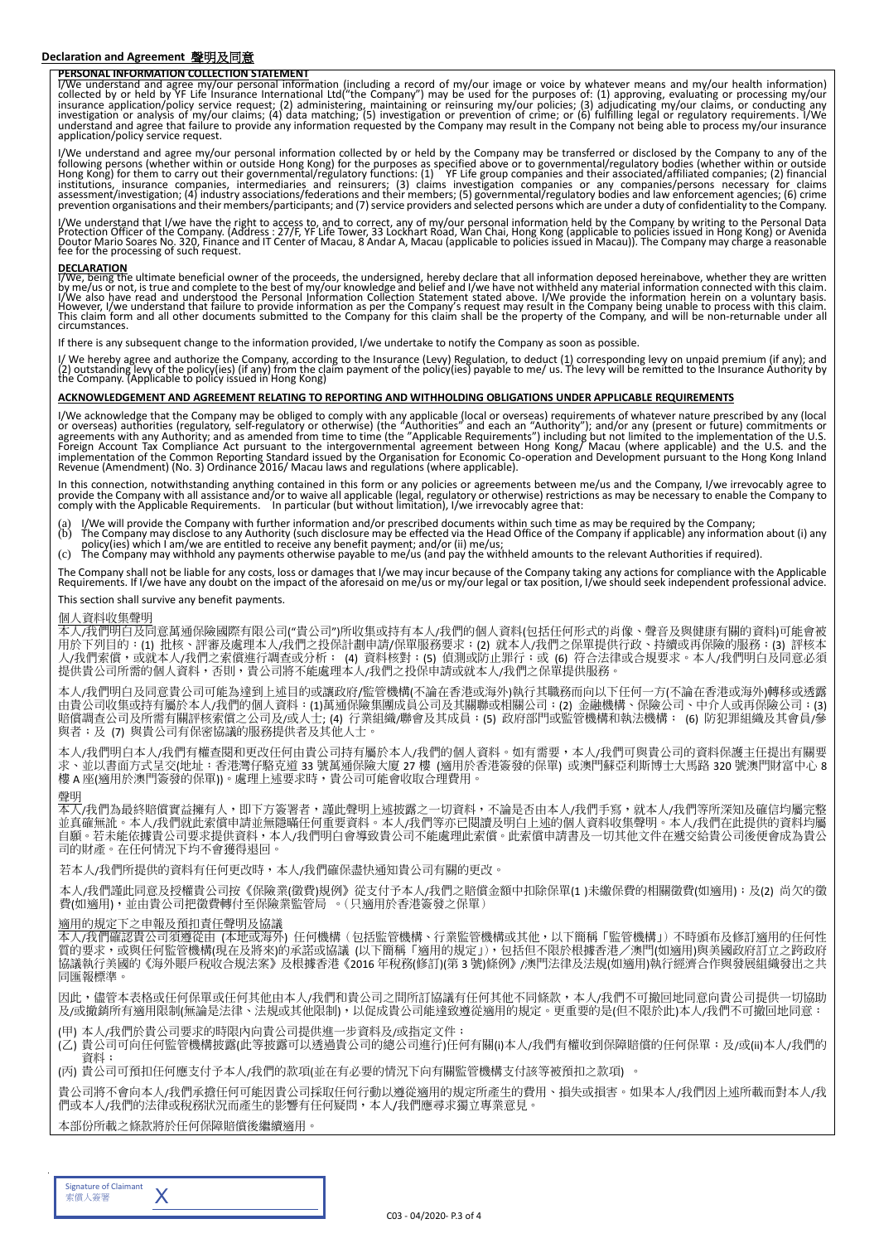#### **Declaration and Agreement** 聲明及同意

### **PERSONAL INFORMATION COLLECTION STATEMENT**

I/We understand and agree my/our personal information (including a record of my/our image or voice by whatever means and my/our health information)<br>collected by or held by YF Life Insurance International Ltd("the Company") application/policy service request.

I/We understand and agree my/our personal information collected by or held by the Company may be transferred or disclosed by the Company to any of the following persons (whether within or outside Hong Kong) for the purposes as specified above or to governmental/regulatory bodies (whether within or outside<br>Hong Kong) for them to carry out their governmental/regulatory fun

I/We understand that I/we have the right to access to, and to correct, any of my/our personal information held by the Company by writing to the Personal Data<br>Protection Officer of the Company. (Address : 27/F, YF Life Towe

**DECLARATION**<br>I/We, being the ultimate beneficial owner of the proceeds, the undersigned, hereby declare that all information deposed hereinabove, whether they are written<br>by me/us or not, is true and complete to the best circumstances.

If there is any subsequent change to the information provided, I/we undertake to notify the Company as soon as possible.

I/ We hereby agree and authorize the Company, according to the Insurance (Levy) Regulation, to deduct (1) corresponding levy on unpaid premium (if any); and<br>(2) outstanding levy of the policy(ies) (if any) from the claim p

#### **ACKNOWLEDGEMENT AND AGREEMENT RELATING TO REPORTING AND WITHHOLDING OBLIGATIONS UNDER APPLICABLE REQUIREMENTS**

I/We acknowledge that the Company may be obliged to comply with any applicable (local or overseas) requirements of whatever nature prescribed by any (local<br>or overseas) authorities (regulatory, self-regulatory or otherwise

In this connection, notwithstanding anything contained in this form or any policies or agreements between me/us and the Company, I/we irrevocably agree to<br>provide the Company with all assistance and/or to waive all applica

- (a) I/We will provide the Company with further information and/or prescribed documents within such time as may be required by the Company;<br>(b) The Company may disclose to any Authority (such disclosure may be effected via
- (b) The Company may disclose to any Authority (such disclosure may be effected via the Head Office of the Company if applicable) any information about (i) any<br>policy(ies) which I am/we are entitled to receive any benefit p
- 

The Company shall not be liable for any costs, loss or damages that I/we may incur because of the Company taking any actions for compliance with the Applicable Requirements. If I/we have any doubt on the impact of the aforesaid on me/us or my/our legal or tax position, I/we should seek independent professional advice.

#### This section shall survive any benefit payments.

#### 個人資料收集聲明

本人/我們明白及同意萬通保險國際有限公司("貴公司")所收集或持有本人/我們的個人資料(包括任何形式的肖像、聲音及與健康有關的資料)可能會被 用於下列目的:(1) 批核、評審及處理本人/我們之投保計劃申請/保單服務要求;(2) 就本人/我們之保單提供行政、持續或再保險的服務;(3) 評核本 人/我們索償,或就本人/我們之索償進行調查或分析; (4) 資料核對;(5) 偵測或防止罪行;或 (6) 符合法律或合規要求。本人/我們明白及同意必須 提供貴公司所需的個人資料,否則,貴公司將不能處理本人/我們之投保申請或就本人/我們之保單提供服務

本人/我們明白及同意貴公司可能為達到上述目的或讓政府/監管機構(不論在香港或海外)執行其職務而向以下任何一方(不論在香港或海外)轉移或透露 由貴公司收集或持有屬於本人/我們的個人資料:(1)萬通保險集團成員公司及其關聯或相關公司;(2) 金融機構、保險公司、中介人或再保險公司;(3) 賠償調查公司及所需有關評核索償之公司及/或人士; (4) 行業組織/聯會及其成員;(5) 政府部門或監管機構和執法機構; (6) 防犯罪組織及其會員/參 與者;及 (7) 與貴公司有保密協議的服務提供者及其他人士。

本人/我們明白本人/我們有權查閱和更改任何由貴公司持有屬於本人/我們的個人資料。如有需要,本人/我們可與貴公司的資料保護主任提出有關要 求、並以書面方式呈交(地址:香港灣仔駱克道 33 號萬通保險大廈 27 樓 (適用於香港簽發的保單) 或澳門蘇亞利斯博士大馬路 320 號澳門財富中心 8 樓 A 座(適用於澳門簽發的保單))。處理上述要求時,貴公司可能會收取合理費用

#### 聲明

本人/我們為最終賠償實益擁有人,即下方簽署者,謹此聲明上述披露之一切資料,不論是否由本人/我們手寫,就本人/我們等所深知及確信均屬完整 並真確無訛。本人/我們就此索償申請並無隱暪任何重要資料。本人/我們等亦已閱讀及明白上述的個人資料收集聲明。本人/我們在此提供的資料均屬 自願。若未能依據貴公司要求提供資料,本人/我們明白會導致貴公司不能處理此索償。此索償申請書及一切其他文件在遞交給貴公司後便會成為貴公 司的財產。在任何情況下均不會獲得退回。

若本人/我們所提供的資料有任何更改時,本人/我們確保盡快通知貴公司有關的更改。

本人/我們謹此同意及授權貴公司按《保險業(徵費)規例》從支付予本人/我們之賠償金額中扣除保單(1 )未繳保費的相關徵費(如適用);及(2) 尚欠的徵 費(如適用),並由貴公司把徵費轉付至保險業監管局 。(只適用於香港簽發之保單)

#### 適用的規定下之申報及預扣責任聲明及協議

本人/我們確認貴公司須遵從由 (本地或海外) 任何機構(包括監管機構、行業監管機構或其他,以下簡稱「監管機構」)不時頒布及修訂適用的任何性 質的要求,或與任何監管機構(現在及將來)的承諾或協議 (以下簡稱「適用的規定」),包括但不限於根據香港/澳門(如適用)與美國政府訂立之跨政府 協議執行美國的《海外賬戶稅收合規法案》及根據香港《2016 年稅務(修訂)(第3號)條例》/澳門法律及法規(如適用)執行經濟合作與發展組織發出之共 同匯報標準。

因此,儘管本表格或任何保單或任何其他由本人/我們和貴公司之間所訂協議有任何其他不同條款,本人/我們不可撤回地同意向貴公司提供一切協助 及/或撤銷所有適用限制(無論是法律、法規或其他限制),以促成貴公司能達致遵從適用的規定。更重要的是(但不限於此)本人/我們不可撤回地同意:

(甲) 本人/我們於貴公司要求的時限內向貴公司提供進一步資料及/或指定文件;

(乙) 貴公司可向任何監管機構披露(此等披露可以透過貴公司的總公司進行)任何有關(i)本人/我們有權收到保障賠償的任何保單;及/或(ii)本人/我們的 資料;

(丙) 貴公司可預扣任何應支付予本人/我們的款項(並在有必要的情況下向有關監管機構支付該等被預扣之款項) 。

貴公司將不會向本人/我們承擔任何可能因貴公司採取任何行動以遵從適用的規定所產生的費用、損失或損害。如果本人/我們因上述所載而對本人/我 們或本人/我們的法律或稅務狀況而產生的影響有任何疑問,本人/我們應尋求獨立專業意見

本部份所載之條款將於任何保障賠償後繼續適用

| <b>Signature of Claimant</b><br>索償人簽署 |  |
|---------------------------------------|--|
|                                       |  |